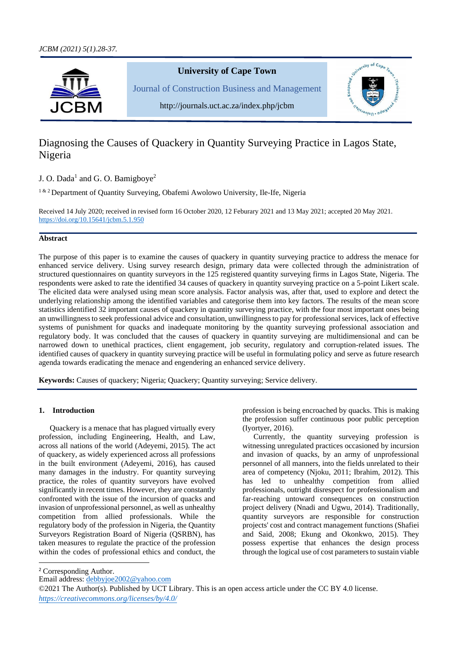

# Diagnosing the Causes of Quackery in Quantity Surveying Practice in Lagos State, Nigeria

J. O. Dada<sup>1</sup> and G. O. Bamigboye<sup>2</sup>

<sup>1 & 2</sup> Department of Quantity Surveying, Obafemi Awolowo University, Ile-Ife, Nigeria

Received 14 July 2020; received in revised form 16 October 2020, 12 Feburary 2021 and 13 May 2021; accepted 20 May 2021. [https://doi.org/10.15641/jcbm.5.1.9](https://doi.org/10.15641/jcbm.5.1.)50

# **Abstract**

The purpose of this paper is to examine the causes of quackery in quantity surveying practice to address the menace for enhanced service delivery. Using survey research design, primary data were collected through the administration of structured questionnaires on quantity surveyors in the 125 registered quantity surveying firms in Lagos State, Nigeria. The respondents were asked to rate the identified 34 causes of quackery in quantity surveying practice on a 5-point Likert scale. The elicited data were analysed using mean score analysis. Factor analysis was, after that, used to explore and detect the underlying relationship among the identified variables and categorise them into key factors. The results of the mean score statistics identified 32 important causes of quackery in quantity surveying practice, with the four most important ones being an unwillingness to seek professional advice and consultation, unwillingness to pay for professional services, lack of effective systems of punishment for quacks and inadequate monitoring by the quantity surveying professional association and regulatory body. It was concluded that the causes of quackery in quantity surveying are multidimensional and can be narrowed down to unethical practices, client engagement, job security, regulatory and corruption-related issues. The identified causes of quackery in quantity surveying practice will be useful in formulating policy and serve as future research agenda towards eradicating the menace and engendering an enhanced service delivery.

**Keywords:** Causes of quackery; Nigeria; Quackery; Quantity surveying; Service delivery.

# **1. Introduction**

Quackery is a menace that has plagued virtually every profession, including Engineering, Health, and Law, across all nations of the world (Adeyemi, 2015). The act of quackery, as widely experienced across all professions in the built environment (Adeyemi, 2016), has caused many damages in the industry. For quantity surveying practice, the roles of quantity surveyors have evolved significantly in recent times. However, they are constantly confronted with the issue of the incursion of quacks and invasion of unprofessional personnel, as well as unhealthy competition from allied professionals. While the regulatory body of the profession in Nigeria, the Quantity Surveyors Registration Board of Nigeria (QSRBN), has taken measures to regulate the practice of the profession within the codes of professional ethics and conduct, the profession is being encroached by quacks. This is making the profession suffer continuous poor public perception (Iyortyer, 2016).

Currently, the quantity surveying profession is witnessing unregulated practices occasioned by incursion and invasion of quacks, by an army of unprofessional personnel of all manners, into the fields unrelated to their area of competency (Njoku, 2011; Ibrahim, 2012). This has led to unhealthy competition from allied professionals, outright disrespect for professionalism and far-reaching untoward consequences on construction project delivery (Nnadi and Ugwu, 2014). Traditionally, quantity surveyors are responsible for construction projects' cost and contract management functions (Shafiei and Said, 2008; Ekung and Okonkwo, 2015). They possess expertise that enhances the design process through the logical use of cost parameters to sustain viable

<sup>&</sup>lt;sup>2</sup> Corresponding Author.

Email address: [debbyjoe2002@yahoo.com](mailto:debbyjoe2002@yahoo.com)

<sup>©2021</sup> The Author(s). Published by UCT Library. This is an open access article under the CC BY 4.0 license. *[https://creativecommons.org/licenses/by/4.0/](https://creativecommons.org/licenses/by-nc-sa/4.0/)*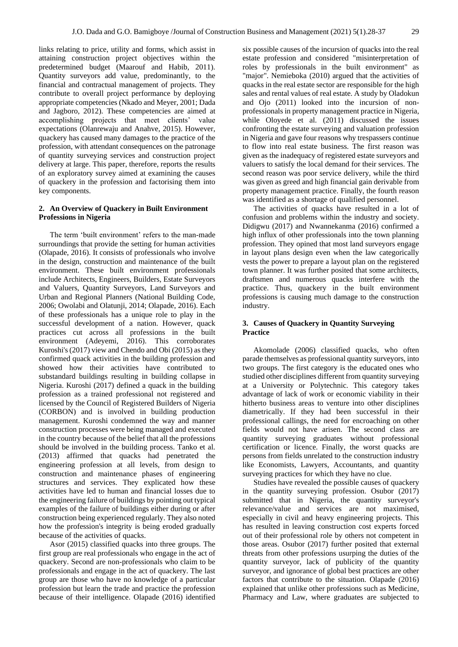links relating to price, utility and forms, which assist in attaining construction project objectives within the predetermined budget (Maarouf and Habib, 2011). Quantity surveyors add value, predominantly, to the financial and contractual management of projects. They contribute to overall project performance by deploying appropriate competencies (Nkado and Meyer, 2001; Dada and Jagboro, 2012). These competencies are aimed at accomplishing projects that meet clients' value expectations (Olanrewaju and Anahve, 2015). However, quackery has caused many damages to the practice of the profession, with attendant consequences on the patronage of quantity surveying services and construction project delivery at large. This paper, therefore, reports the results of an exploratory survey aimed at examining the causes of quackery in the profession and factorising them into key components.

#### **2. An Overview of Quackery in Built Environment Professions in Nigeria**

The term 'built environment' refers to the man-made surroundings that provide the setting for human activities (Olapade, 2016). It consists of professionals who involve in the design, construction and maintenance of the built environment. These built environment professionals include Architects, Engineers, Builders, Estate Surveyors and Valuers, Quantity Surveyors, Land Surveyors and Urban and Regional Planners (National Building Code, 2006; Owolabi and Olatunji, 2014; Olapade, 2016). Each of these professionals has a unique role to play in the successful development of a nation. However, quack practices cut across all professions in the built environment (Adeyemi, 2016). This corroborates Kuroshi's (2017) view and Chendo and Obi (2015) as they confirmed quack activities in the building profession and showed how their activities have contributed to substandard buildings resulting in building collapse in Nigeria. Kuroshi (2017) defined a quack in the building profession as a trained professional not registered and licensed by the Council of Registered Builders of Nigeria (CORBON) and is involved in building production management. Kuroshi condemned the way and manner construction processes were being managed and executed in the country because of the belief that all the professions should be involved in the building process. Tanko et al. (2013) affirmed that quacks had penetrated the engineering profession at all levels, from design to construction and maintenance phases of engineering structures and services. They explicated how these activities have led to human and financial losses due to the engineering failure of buildings by pointing out typical examples of the failure of buildings either during or after construction being experienced regularly. They also noted how the profession's integrity is being eroded gradually because of the activities of quacks.

Asor (2015) classified quacks into three groups. The first group are real professionals who engage in the act of quackery. Second are non-professionals who claim to be professionals and engage in the act of quackery. The last group are those who have no knowledge of a particular profession but learn the trade and practice the profession because of their intelligence. Olapade (2016) identified

six possible causes of the incursion of quacks into the real estate profession and considered "misinterpretation of roles by professionals in the built environment" as "major". Nemieboka (2010) argued that the activities of quacks in the real estate sector are responsible for the high sales and rental values of real estate. A study by Oladokun and Ojo (2011) looked into the incursion of nonprofessionals in property management practice in Nigeria, while Oloyede et al. (2011) discussed the issues confronting the estate surveying and valuation profession in Nigeria and gave four reasons why trespassers continue to flow into real estate business. The first reason was given as the inadequacy of registered estate surveyors and valuers to satisfy the local demand for their services. The second reason was poor service delivery, while the third was given as greed and high financial gain derivable from property management practice. Finally, the fourth reason was identified as a shortage of qualified personnel.

The activities of quacks have resulted in a lot of confusion and problems within the industry and society. Didigwu (2017) and Nwannekanma (2016) confirmed a high influx of other professionals into the town planning profession. They opined that most land surveyors engage in layout plans design even when the law categorically vests the power to prepare a layout plan on the registered town planner. It was further posited that some architects, draftsmen and numerous quacks interfere with the practice. Thus, quackery in the built environment professions is causing much damage to the construction industry.

## **3. Causes of Quackery in Quantity Surveying Practice**

Akomolade (2006) classified quacks, who often parade themselves as professional quantity surveyors, into two groups. The first category is the educated ones who studied other disciplines different from quantity surveying at a University or Polytechnic. This category takes advantage of lack of work or economic viability in their hitherto business areas to venture into other disciplines diametrically. If they had been successful in their professional callings, the need for encroaching on other fields would not have arisen. The second class are quantity surveying graduates without professional certification or licence. Finally, the worst quacks are persons from fields unrelated to the construction industry like Economists, Lawyers, Accountants, and quantity surveying practices for which they have no clue.

Studies have revealed the possible causes of quackery in the quantity surveying profession. Osubor (2017) submitted that in Nigeria, the quantity surveyor's relevance/value and services are not maximised, especially in civil and heavy engineering projects. This has resulted in leaving construction cost experts forced out of their professional role by others not competent in those areas. Osubor (2017) further posited that external threats from other professions usurping the duties of the quantity surveyor, lack of publicity of the quantity surveyor, and ignorance of global best practices are other factors that contribute to the situation. Olapade (2016) explained that unlike other professions such as Medicine, Pharmacy and Law, where graduates are subjected to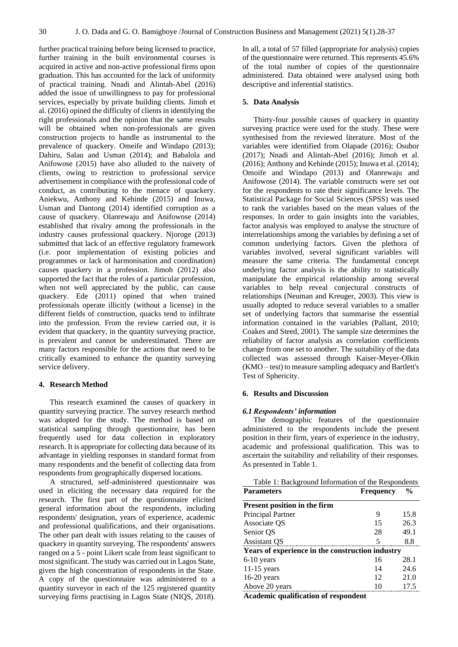further practical training before being licensed to practice, further training in the built environmental courses is acquired in active and non-active professional firms upon graduation. This has accounted for the lack of uniformity of practical training. Nnadi and Alintah-Abel (2016) added the issue of unwillingness to pay for professional services, especially by private building clients. Jimoh et al. (2016) opined the difficulty of clients in identifying the right professionals and the opinion that the same results will be obtained when non-professionals are given construction projects to handle as instrumental to the prevalence of quackery. Omeife and Windapo (2013); Dahiru, Salau and Usman (2014); and Babalola and Anifowose (2015) have also alluded to the naivety of clients, owing to restriction to professional service advertisement in compliance with the professional code of conduct, as contributing to the menace of quackery. Aniekwu, Anthony and Kehinde (2015) and Inuwa, Usman and Dantong (2014) identified corruption as a cause of quackery. Olanrewaju and Anifowose (2014) established that rivalry among the professionals in the industry causes professional quackery. Njoroge (2013) submitted that lack of an effective regulatory framework (i.e. poor implementation of existing policies and programmes or lack of harmonisation and coordination) causes quackery in a profession. Jimoh (2012) also supported the fact that the roles of a particular profession, when not well appreciated by the public, can cause quackery. Ede (2011) opined that when trained professionals operate illicitly (without a license) in the different fields of construction, quacks tend to infiltrate into the profession. From the review carried out, it is evident that quackery, in the quantity surveying practice, is prevalent and cannot be underestimated. There are many factors responsible for the actions that need to be critically examined to enhance the quantity surveying service delivery.

# **4. Research Method**

This research examined the causes of quackery in quantity surveying practice. The survey research method was adopted for the study. The method is based on statistical sampling through questionnaire, has been frequently used for data collection in exploratory research. It is appropriate for collecting data because of its advantage in yielding responses in standard format from many respondents and the benefit of collecting data from respondents from geographically dispersed locations.

A structured, self-administered questionnaire was used in eliciting the necessary data required for the research. The first part of the questionnaire elicited general information about the respondents, including respondents' designation, years of experience, academic and professional qualifications, and their organisations. The other part dealt with issues relating to the causes of quackery in quantity surveying. The respondents' answers ranged on a 5 - point Likert scale from least significant to most significant. The study was carried out in Lagos State, given the high concentration of respondents in the State. A copy of the questionnaire was administered to a quantity surveyor in each of the 125 registered quantity surveying firms practising in Lagos State (NIQS, 2018).

In all, a total of 57 filled (appropriate for analysis) copies of the questionnaire were returned. This represents 45.6% of the total number of copies of the questionnaire administered. Data obtained were analysed using both descriptive and inferential statistics.

#### **5. Data Analysis**

Thirty-four possible causes of quackery in quantity surveying practice were used for the study. These were synthesised from the reviewed literature. Most of the variables were identified from Olapade (2016); Osubor (2017); Nnadi and Alintah-Abel (2016); Jimoh et al. (2016); Anthony and Kehinde (2015); Inuwa et al. (2014); Omoife and Windapo (2013) and Olanrewaju and Anifowose (2014). The variable constructs were set out for the respondents to rate their significance levels. The Statistical Package for Social Sciences (SPSS) was used to rank the variables based on the mean values of the responses. In order to gain insights into the variables, factor analysis was employed to analyse the structure of interrelationships among the variables by defining a set of common underlying factors. Given the plethora of variables involved, several significant variables will measure the same criteria. The fundamental concept underlying factor analysis is the ability to statistically manipulate the empirical relationship among several variables to help reveal conjectural constructs of relationships (Neuman and Kreuger, 2003). This view is usually adopted to reduce several variables to a smaller set of underlying factors that summarise the essential information contained in the variables (Pallant, 2010; Coakes and Steed, 2001). The sample size determines the reliability of factor analysis as correlation coefficients change from one set to another. The suitability of the data collected was assessed through Kaiser-Meyer-Olkin (KMO – test) to measure sampling adequacy and Bartlett's Test of Sphericity.

### **6. Results and Discussion**

#### *6.1 Respondents' information*

The demographic features of the questionnaire administered to the respondents include the present position in their firm, years of experience in the industry, academic and professional qualification. This was to ascertain the suitability and reliability of their responses. As presented in Table 1.

| Table 1: Background Information of the Respondents |                  |               |  |  |  |  |  |
|----------------------------------------------------|------------------|---------------|--|--|--|--|--|
| <b>Parameters</b>                                  | <b>Frequency</b> | $\frac{6}{9}$ |  |  |  |  |  |
| <b>Present position in the firm</b>                |                  |               |  |  |  |  |  |
| Principal Partner                                  | 9                | 15.8          |  |  |  |  |  |
| Associate OS                                       | 15               | 26.3          |  |  |  |  |  |
| Senior QS                                          | 28               | 49.1          |  |  |  |  |  |
| <b>Assistant QS</b>                                | 5                | 8.8           |  |  |  |  |  |
| Years of experience in the construction industry   |                  |               |  |  |  |  |  |
| $6-10$ years                                       | 16               | 28.1          |  |  |  |  |  |
| $11-15$ years                                      | 14               | 24.6          |  |  |  |  |  |
| $16-20$ years                                      | 12               | 21.0          |  |  |  |  |  |
| Above 20 years                                     | 10               | 17.5          |  |  |  |  |  |
|                                                    |                  |               |  |  |  |  |  |

**Academic qualification of respondent**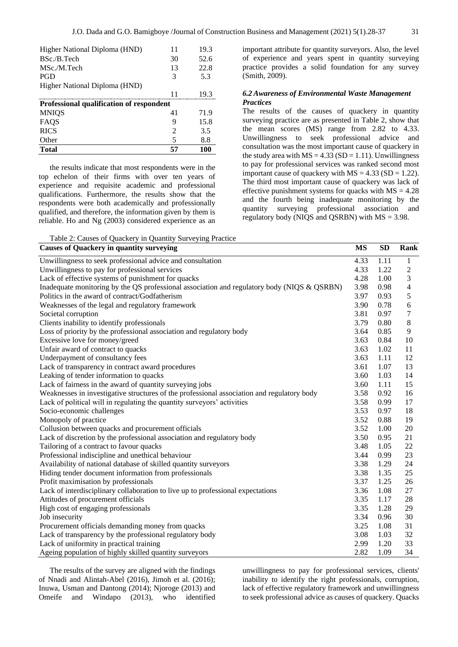| Higher National Diploma (HND)            | 11 | 19.3 |  |  |  |  |  |
|------------------------------------------|----|------|--|--|--|--|--|
| BSc./B.Tech                              | 30 | 52.6 |  |  |  |  |  |
| MSc./M.Tech                              | 13 | 22.8 |  |  |  |  |  |
| <b>PGD</b>                               | 3  | 5.3  |  |  |  |  |  |
| Higher National Diploma (HND)            |    |      |  |  |  |  |  |
|                                          | 11 | 19.3 |  |  |  |  |  |
| Professional qualification of respondent |    |      |  |  |  |  |  |
| <b>MNIQS</b>                             | 41 | 71.9 |  |  |  |  |  |
| FAQS                                     | 9  | 15.8 |  |  |  |  |  |
| <b>RICS</b>                              | 2  | 3.5  |  |  |  |  |  |
| Other                                    | 5  | 8.8  |  |  |  |  |  |
| <b>Total</b>                             | 57 | 100  |  |  |  |  |  |

the results indicate that most respondents were in the top echelon of their firms with over ten years of experience and requisite academic and professional qualifications. Furthermore, the results show that the respondents were both academically and professionally qualified, and therefore, the information given by them is reliable. Ho and Ng (2003) considered experience as an

important attribute for quantity surveyors. Also, the level of experience and years spent in quantity surveying practice provides a solid foundation for any survey (Smith, 2009).

## *6.2 Awareness of Environmental Waste Management Practices*

The results of the causes of quackery in quantity surveying practice are as presented in Table 2, show that the mean scores (MS) range from 2.82 to 4.33. Unwillingness to seek professional advice and consultation was the most important cause of quackery in the study area with  $MS = 4.33$  (SD = 1.11). Unwillingness to pay for professional services was ranked second most important cause of quackery with  $MS = 4.33$  (SD = 1.22). The third most important cause of quackery was lack of effective punishment systems for quacks with  $MS = 4.28$ and the fourth being inadequate monitoring by the quantity surveying professional association and regulatory body (NIQS and QSRBN) with  $MS = 3.98$ .

Table 2: Causes of Quackery in Quantity Surveying Practice

| <b>Causes of Quackery in quantity surveying</b>                                             | <b>MS</b> | <b>SD</b> | Rank                     |
|---------------------------------------------------------------------------------------------|-----------|-----------|--------------------------|
| Unwillingness to seek professional advice and consultation                                  | 4.33      | 1.11      | $\mathbf{1}$             |
| Unwillingness to pay for professional services                                              | 4.33      | 1.22      | $\overline{c}$           |
| Lack of effective systems of punishment for quacks                                          | 4.28      | 1.00      | 3                        |
| Inadequate monitoring by the QS professional association and regulatory body (NIQS & QSRBN) | 3.98      | 0.98      | $\overline{\mathcal{L}}$ |
| Politics in the award of contract/Godfatherism                                              | 3.97      | 0.93      | 5                        |
| Weaknesses of the legal and regulatory framework                                            | 3.90      | 0.78      | $\sqrt{6}$               |
| Societal corruption                                                                         | 3.81      | 0.97      | 7                        |
| Clients inability to identify professionals                                                 | 3.79      | 0.80      | $\,8\,$                  |
| Loss of priority by the professional association and regulatory body                        | 3.64      | 0.85      | 9                        |
| Excessive love for money/greed                                                              | 3.63      | 0.84      | 10                       |
| Unfair award of contract to quacks                                                          | 3.63      | 1.02      | 11                       |
| Underpayment of consultancy fees                                                            | 3.63      | 1.11      | 12                       |
| Lack of transparency in contract award procedures                                           | 3.61      | 1.07      | 13                       |
| Leaking of tender information to quacks                                                     | 3.60      | 1.03      | 14                       |
| Lack of fairness in the award of quantity surveying jobs                                    | 3.60      | 1.11      | 15                       |
| Weaknesses in investigative structures of the professional association and regulatory body  | 3.58      | 0.92      | 16                       |
| Lack of political will in regulating the quantity surveyors' activities                     | 3.58      | 0.99      | 17                       |
| Socio-economic challenges                                                                   | 3.53      | 0.97      | 18                       |
| Monopoly of practice                                                                        | 3.52      | 0.88      | 19                       |
| Collusion between quacks and procurement officials                                          | 3.52      | 1.00      | 20                       |
| Lack of discretion by the professional association and regulatory body                      | 3.50      | 0.95      | 21                       |
| Tailoring of a contract to favour quacks                                                    | 3.48      | 1.05      | 22                       |
| Professional indiscipline and unethical behaviour                                           | 3.44      | 0.99      | 23                       |
| Availability of national database of skilled quantity surveyors                             | 3.38      | 1.29      | 24                       |
| Hiding tender document information from professionals                                       | 3.38      | 1.35      | 25                       |
| Profit maximisation by professionals                                                        | 3.37      | 1.25      | 26                       |
| Lack of interdisciplinary collaboration to live up to professional expectations             | 3.36      | 1.08      | 27                       |
| Attitudes of procurement officials                                                          | 3.35      | 1.17      | 28                       |
| High cost of engaging professionals                                                         | 3.35      | 1.28      | 29                       |
| Job insecurity                                                                              | 3.34      | 0.96      | 30                       |
| Procurement officials demanding money from quacks                                           | 3.25      | 1.08      | 31                       |
| Lack of transparency by the professional regulatory body                                    | 3.08      | 1.03      | 32                       |
| Lack of uniformity in practical training                                                    | 2.99      | 1.20      | 33                       |
| Ageing population of highly skilled quantity surveyors                                      | 2.82      | 1.09      | 34                       |

The results of the survey are aligned with the findings of Nnadi and Alintah-Abel (2016), Jimoh et al. (2016); Inuwa, Usman and Dantong (2014); Njoroge (2013) and Omeife and Windapo (2013), who identified

unwillingness to pay for professional services, clients' inability to identify the right professionals, corruption, lack of effective regulatory framework and unwillingness to seek professional advice as causes of quackery. Quacks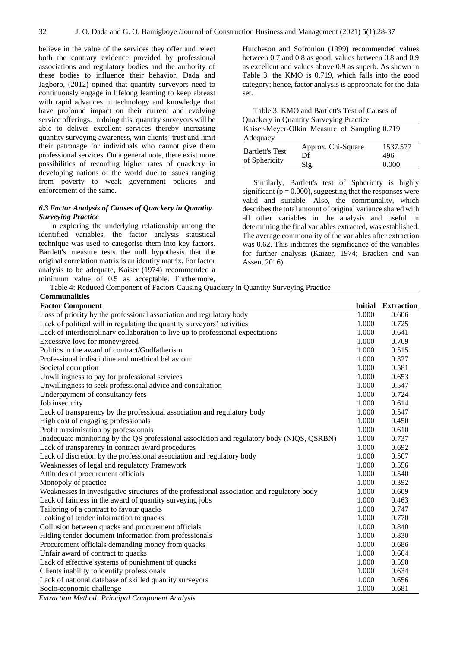believe in the value of the services they offer and reject both the contrary evidence provided by professional associations and regulatory bodies and the authority of these bodies to influence their behavior. Dada and Jagboro, (2012) opined that quantity surveyors need to continuously engage in lifelong learning to keep abreast with rapid advances in technology and knowledge that have profound impact on their current and evolving service offerings. In doing this, quantity surveyors will be able to deliver excellent services thereby increasing quantity surveying awareness, win clients' trust and limit their patronage for individuals who cannot give them professional services. On a general note, there exist more possibilities of recording higher rates of quackery in developing nations of the world due to issues ranging from poverty to weak government policies and enforcement of the same.

# *6.3 Factor Analysis of Causes of Quackery in Quantity Surveying Practice*

In exploring the underlying relationship among the identified variables, the factor analysis statistical technique was used to categorise them into key factors. Bartlett's measure tests the null hypothesis that the original correlation matrix is an identity matrix. For factor analysis to be adequate, Kaiser (1974) recommended a minimum value of 0.5 as acceptable. Furthermore,

Hutcheson and Sofroniou (1999) recommended values between 0.7 and 0.8 as good, values between 0.8 and 0.9 as excellent and values above 0.9 as superb. As shown in Table 3, the KMO is 0.719, which falls into the good category; hence, factor analysis is appropriate for the data set.

| Table 3: KMO and Bartlett's Test of Causes of |                    |          |  |  |  |  |  |
|-----------------------------------------------|--------------------|----------|--|--|--|--|--|
| Quackery in Quantity Surveying Practice       |                    |          |  |  |  |  |  |
| Kaiser-Meyer-Olkin Measure of Sampling 0.719  |                    |          |  |  |  |  |  |
| Adequacy                                      |                    |          |  |  |  |  |  |
|                                               | Approx. Chi-Square | 1537.577 |  |  |  |  |  |
| <b>Bartlett's Test</b>                        | Df                 | 496      |  |  |  |  |  |
| of Sphericity                                 | Sig.               | 0.000    |  |  |  |  |  |

Similarly, Bartlett's test of Sphericity is highly significant ( $p = 0.000$ ), suggesting that the responses were valid and suitable. Also, the communality, which describes the total amount of original variance shared with all other variables in the analysis and useful in determining the final variables extracted, was established. The average commonality of the variables after extraction was 0.62. This indicates the significance of the variables for further analysis (Kaizer, 1974; Braeken and van Assen, 2016).

Table 4: Reduced Component of Factors Causing Quackery in Quantity Surveying Practice

| <b>Communalities</b>                                                                       |                |                   |
|--------------------------------------------------------------------------------------------|----------------|-------------------|
| <b>Factor Component</b>                                                                    | <b>Initial</b> | <b>Extraction</b> |
| Loss of priority by the professional association and regulatory body                       | 1.000          | 0.606             |
| Lack of political will in regulating the quantity surveyors' activities                    | 1.000          | 0.725             |
| Lack of interdisciplinary collaboration to live up to professional expectations            | 1.000          | 0.641             |
| Excessive love for money/greed                                                             | 1.000          | 0.709             |
| Politics in the award of contract/Godfatherism                                             | 1.000          | 0.515             |
| Professional indiscipline and unethical behaviour                                          | 1.000          | 0.327             |
| Societal corruption                                                                        | 1.000          | 0.581             |
| Unwillingness to pay for professional services                                             | 1.000          | 0.653             |
| Unwillingness to seek professional advice and consultation                                 | 1.000          | 0.547             |
| Underpayment of consultancy fees                                                           | 1.000          | 0.724             |
| Job insecurity                                                                             | 1.000          | 0.614             |
| Lack of transparency by the professional association and regulatory body                   | 1.000          | 0.547             |
| High cost of engaging professionals                                                        | 1.000          | 0.450             |
| Profit maximisation by professionals                                                       | 1.000          | 0.610             |
| Inadequate monitoring by the QS professional association and regulatory body (NIQS, QSRBN) | 1.000          | 0.737             |
| Lack of transparency in contract award procedures                                          | 1.000          | 0.692             |
| Lack of discretion by the professional association and regulatory body                     | 1.000          | 0.507             |
| Weaknesses of legal and regulatory Framework                                               | 1.000          | 0.556             |
| Attitudes of procurement officials                                                         | 1.000          | 0.540             |
| Monopoly of practice                                                                       | 1.000          | 0.392             |
| Weaknesses in investigative structures of the professional association and regulatory body | 1.000          | 0.609             |
| Lack of fairness in the award of quantity surveying jobs                                   | 1.000          | 0.463             |
| Tailoring of a contract to favour quacks                                                   | 1.000          | 0.747             |
| Leaking of tender information to quacks                                                    | 1.000          | 0.770             |
| Collusion between quacks and procurement officials                                         | 1.000          | 0.840             |
| Hiding tender document information from professionals                                      | 1.000          | 0.830             |
| Procurement officials demanding money from quacks                                          | 1.000          | 0.686             |
| Unfair award of contract to quacks                                                         | 1.000          | 0.604             |
| Lack of effective systems of punishment of quacks                                          | 1.000          | 0.590             |
| Clients inability to identify professionals                                                | 1.000          | 0.634             |
| Lack of national database of skilled quantity surveyors                                    | 1.000          | 0.656             |
| Socio-economic challenge                                                                   | 1.000          | 0.681             |

*Extraction Method: Principal Component Analysis*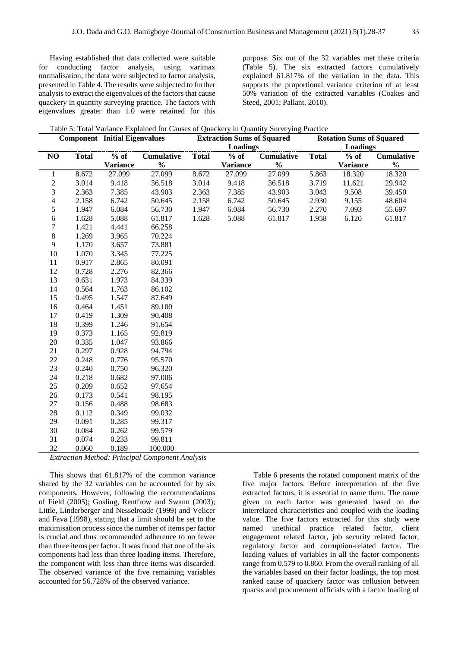Having established that data collected were suitable for conducting factor analysis, using varimax normalisation, the data were subjected to factor analysis, presented in Table 4. The results were subjected to further analysis to extract the eigenvalues of the factors that cause quackery in quantity surveying practice. The factors with eigenvalues greater than 1.0 were retained for this

purpose. Six out of the 32 variables met these criteria (Table 5). The six extracted factors cumulatively explained 61.817% of the variation in the data. This supports the proportional variance criterion of at least 50% variation of the extracted variables (Coakes and Steed, 2001; Pallant, 2010).

| Table 5: Total Variance Explained for Causes of Quackery in Quantity Surveying Practice |  |  |  |  |  |  |  |  |
|-----------------------------------------------------------------------------------------|--|--|--|--|--|--|--|--|
|-----------------------------------------------------------------------------------------|--|--|--|--|--|--|--|--|

| <b>Component</b> Initial Eigenvalues |              |                 |                   | <b>Extraction Sums of Squared</b> |                 |                   | <b>Rotation Sums of Squared</b> |                 |                   |
|--------------------------------------|--------------|-----------------|-------------------|-----------------------------------|-----------------|-------------------|---------------------------------|-----------------|-------------------|
|                                      |              |                 |                   |                                   | <b>Loadings</b> |                   |                                 | Loadings        |                   |
| NO                                   | <b>Total</b> | $%$ of          | <b>Cumulative</b> | <b>Total</b>                      | $%$ of          | <b>Cumulative</b> | <b>Total</b>                    | $%$ of          | <b>Cumulative</b> |
|                                      |              | <b>Variance</b> | $\frac{0}{0}$     |                                   | <b>Variance</b> | $\frac{0}{0}$     |                                 | <b>Variance</b> | $\frac{0}{0}$     |
| 1                                    | 8.672        | 27.099          | 27.099            | 8.672                             | 27.099          | 27.099            | 5.863                           | 18.320          | 18.320            |
| $\boldsymbol{2}$                     | 3.014        | 9.418           | 36.518            | 3.014                             | 9.418           | 36.518            | 3.719                           | 11.621          | 29.942            |
| 3                                    | 2.363        | 7.385           | 43.903            | 2.363                             | 7.385           | 43.903            | 3.043                           | 9.508           | 39.450            |
| $\overline{4}$                       | 2.158        | 6.742           | 50.645            | 2.158                             | 6.742           | 50.645            | 2.930                           | 9.155           | 48.604            |
| 5                                    | 1.947        | 6.084           | 56.730            | 1.947                             | 6.084           | 56.730            | 2.270                           | 7.093           | 55.697            |
| 6                                    | 1.628        | 5.088           | 61.817            | 1.628                             | 5.088           | 61.817            | 1.958                           | 6.120           | 61.817            |
| $\tau$                               | 1.421        | 4.441           | 66.258            |                                   |                 |                   |                                 |                 |                   |
| $\,8\,$                              | 1.269        | 3.965           | 70.224            |                                   |                 |                   |                                 |                 |                   |
| $\overline{9}$                       | 1.170        | 3.657           | 73.881            |                                   |                 |                   |                                 |                 |                   |
| 10                                   | 1.070        | 3.345           | 77.225            |                                   |                 |                   |                                 |                 |                   |
| 11                                   | 0.917        | 2.865           | 80.091            |                                   |                 |                   |                                 |                 |                   |
| 12                                   | 0.728        | 2.276           | 82.366            |                                   |                 |                   |                                 |                 |                   |
| 13                                   | 0.631        | 1.973           | 84.339            |                                   |                 |                   |                                 |                 |                   |
| 14                                   | 0.564        | 1.763           | 86.102            |                                   |                 |                   |                                 |                 |                   |
| 15                                   | 0.495        | 1.547           | 87.649            |                                   |                 |                   |                                 |                 |                   |
| 16                                   | 0.464        | 1.451           | 89.100            |                                   |                 |                   |                                 |                 |                   |
| 17                                   | 0.419        | 1.309           | 90.408            |                                   |                 |                   |                                 |                 |                   |
| 18                                   | 0.399        | 1.246           | 91.654            |                                   |                 |                   |                                 |                 |                   |
| 19                                   | 0.373        | 1.165           | 92.819            |                                   |                 |                   |                                 |                 |                   |
| 20                                   | 0.335        | 1.047           | 93.866            |                                   |                 |                   |                                 |                 |                   |
| 21                                   | 0.297        | 0.928           | 94.794            |                                   |                 |                   |                                 |                 |                   |
| 22                                   | 0.248        | 0.776           | 95.570            |                                   |                 |                   |                                 |                 |                   |
| 23                                   | 0.240        | 0.750           | 96.320            |                                   |                 |                   |                                 |                 |                   |
| 24                                   | 0.218        | 0.682           | 97.006            |                                   |                 |                   |                                 |                 |                   |
| 25                                   | 0.209        | 0.652           | 97.654            |                                   |                 |                   |                                 |                 |                   |
| 26                                   | 0.173        | 0.541           | 98.195            |                                   |                 |                   |                                 |                 |                   |
| 27                                   | 0.156        | 0.488           | 98.683            |                                   |                 |                   |                                 |                 |                   |
| 28                                   | 0.112        | 0.349           | 99.032            |                                   |                 |                   |                                 |                 |                   |
| 29                                   | 0.091        | 0.285           | 99.317            |                                   |                 |                   |                                 |                 |                   |
| 30                                   | 0.084        | 0.262           | 99.579            |                                   |                 |                   |                                 |                 |                   |
| 31                                   | 0.074        | 0.233           | 99.811            |                                   |                 |                   |                                 |                 |                   |
| 32<br>$\sim$                         | 0.060        | 0.189           | 100.000           |                                   |                 |                   |                                 |                 |                   |

*Extraction Method: Principal Component Analysis*

This shows that 61.817% of the common variance shared by the 32 variables can be accounted for by six components. However, following the recommendations of Field (2005); Gosling, Rentfrow and Swann (2003); Little, Linderberger and Nesselroade (1999) and Velicer and Fava (1998), stating that a limit should be set to the maximisation process since the number of items per factor is crucial and thus recommended adherence to no fewer than three items per factor. It was found that one of the six components had less than three loading items. Therefore, the component with less than three items was discarded. The observed variance of the five remaining variables accounted for 56.728% of the observed variance.

Table 6 presents the rotated component matrix of the five major factors. Before interpretation of the five extracted factors, it is essential to name them. The name given to each factor was generated based on the interrelated characteristics and coupled with the loading value. The five factors extracted for this study were named unethical practice related factor, client engagement related factor, job security related factor, regulatory factor and corruption-related factor. The loading values of variables in all the factor components range from 0.579 to 0.860. From the overall ranking of all the variables based on their factor loadings, the top most ranked cause of quackery factor was collusion between quacks and procurement officials with a factor loading of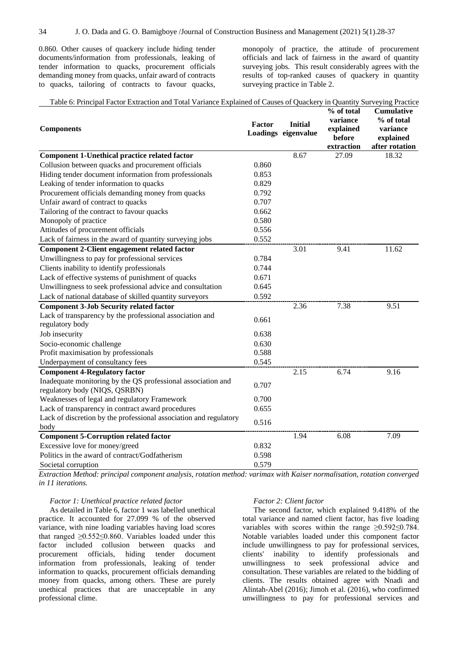0.860. Other causes of quackery include hiding tender documents/information from professionals, leaking of tender information to quacks, procurement officials demanding money from quacks, unfair award of contracts to quacks, tailoring of contracts to favour quacks, monopoly of practice, the attitude of procurement officials and lack of fairness in the award of quantity surveying jobs. This result considerably agrees with the results of top-ranked causes of quackery in quantity surveying practice in Table 2.

**% of total** 

| Table 6: Principal Factor Extraction and Total Variance Explained of Causes of Quackery in Quantity Surveying Practice |  |  |  |  |
|------------------------------------------------------------------------------------------------------------------------|--|--|--|--|
|                                                                                                                        |  |  |  |  |

| <b>Components</b>                                                                             | Factor | <b>Initial</b><br>Loadings eigenvalue | % of total<br>variance<br>explained<br>before<br>extraction | <b>Cumulative</b><br>% of total<br>variance<br>explained<br>after rotation |
|-----------------------------------------------------------------------------------------------|--------|---------------------------------------|-------------------------------------------------------------|----------------------------------------------------------------------------|
| <b>Component 1-Unethical practice related factor</b>                                          |        | 8.67                                  | 27.09                                                       | 18.32                                                                      |
| Collusion between quacks and procurement officials                                            | 0.860  |                                       |                                                             |                                                                            |
| Hiding tender document information from professionals                                         | 0.853  |                                       |                                                             |                                                                            |
| Leaking of tender information to quacks                                                       | 0.829  |                                       |                                                             |                                                                            |
| Procurement officials demanding money from quacks                                             | 0.792  |                                       |                                                             |                                                                            |
| Unfair award of contract to quacks                                                            | 0.707  |                                       |                                                             |                                                                            |
| Tailoring of the contract to favour quacks                                                    | 0.662  |                                       |                                                             |                                                                            |
| Monopoly of practice                                                                          | 0.580  |                                       |                                                             |                                                                            |
| Attitudes of procurement officials                                                            | 0.556  |                                       |                                                             |                                                                            |
| Lack of fairness in the award of quantity surveying jobs                                      | 0.552  |                                       |                                                             |                                                                            |
| <b>Component 2-Client engagement related factor</b>                                           |        | 3.01                                  | 9.41                                                        | 11.62                                                                      |
| Unwillingness to pay for professional services                                                | 0.784  |                                       |                                                             |                                                                            |
| Clients inability to identify professionals                                                   | 0.744  |                                       |                                                             |                                                                            |
| Lack of effective systems of punishment of quacks                                             | 0.671  |                                       |                                                             |                                                                            |
| Unwillingness to seek professional advice and consultation                                    | 0.645  |                                       |                                                             |                                                                            |
| Lack of national database of skilled quantity surveyors                                       | 0.592  |                                       |                                                             |                                                                            |
| <b>Component 3-Job Security related factor</b>                                                |        | 2.36                                  | 7.38                                                        | 9.51                                                                       |
| Lack of transparency by the professional association and<br>regulatory body                   | 0.661  |                                       |                                                             |                                                                            |
| Job insecurity                                                                                | 0.638  |                                       |                                                             |                                                                            |
| Socio-economic challenge                                                                      | 0.630  |                                       |                                                             |                                                                            |
| Profit maximisation by professionals                                                          | 0.588  |                                       |                                                             |                                                                            |
| Underpayment of consultancy fees                                                              | 0.545  |                                       |                                                             |                                                                            |
| <b>Component 4-Regulatory factor</b>                                                          |        | 2.15                                  | 6.74                                                        | 9.16                                                                       |
| Inadequate monitoring by the QS professional association and<br>regulatory body (NIQS, QSRBN) | 0.707  |                                       |                                                             |                                                                            |
| Weaknesses of legal and regulatory Framework                                                  | 0.700  |                                       |                                                             |                                                                            |
| Lack of transparency in contract award procedures                                             | 0.655  |                                       |                                                             |                                                                            |
| Lack of discretion by the professional association and regulatory                             |        |                                       |                                                             |                                                                            |
| body                                                                                          | 0.516  |                                       |                                                             |                                                                            |
| <b>Component 5-Corruption related factor</b>                                                  |        | 1.94                                  | 6.08                                                        | 7.09                                                                       |
| Excessive love for money/greed                                                                | 0.832  |                                       |                                                             |                                                                            |
| Politics in the award of contract/Godfatherism                                                | 0.598  |                                       |                                                             |                                                                            |
| Societal corruption                                                                           | 0.579  |                                       |                                                             |                                                                            |

*Extraction Method: principal component analysis, rotation method: varimax with Kaiser normalisation, rotation converged in 11 iterations.*

#### *Factor 1: Unethical practice related factor*

As detailed in Table 6, factor 1 was labelled unethical practice. It accounted for 27.099 % of the observed variance, with nine loading variables having load scores that ranged  $\geq 0.552 \leq 0.860$ . Variables loaded under this factor included collusion between quacks and procurement officials, hiding tender document information from professionals, leaking of tender information to quacks, procurement officials demanding money from quacks, among others. These are purely unethical practices that are unacceptable in any professional clime.

#### *Factor 2: Client factor*

The second factor, which explained 9.418% of the total variance and named client factor, has five loading variables with scores within the range ≥0.592≤0.784. Notable variables loaded under this component factor include unwillingness to pay for professional services, clients' inability to identify professionals and unwillingness to seek professional advice and consultation. These variables are related to the bidding of clients. The results obtained agree with Nnadi and Alintah-Abel (2016); Jimoh et al. (2016), who confirmed unwillingness to pay for professional services and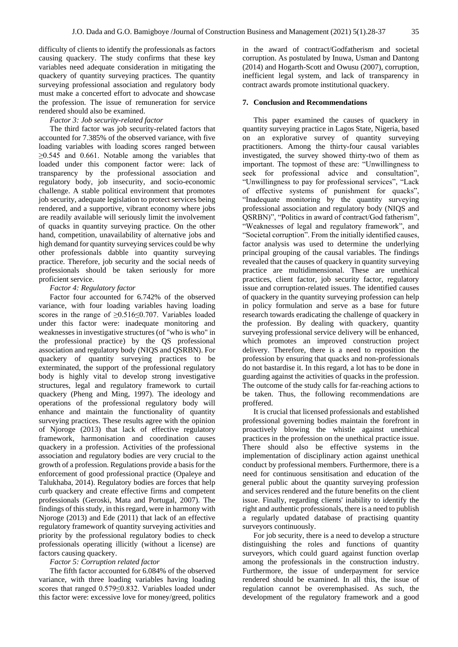difficulty of clients to identify the professionals as factors causing quackery. The study confirms that these key variables need adequate consideration in mitigating the quackery of quantity surveying practices. The quantity surveying professional association and regulatory body must make a concerted effort to advocate and showcase the profession. The issue of remuneration for service rendered should also be examined.

## *Factor 3: Job security-related factor*

The third factor was job security-related factors that accounted for 7.385% of the observed variance, with five loading variables with loading scores ranged between  $\geq$ 0.545 and 0.661. Notable among the variables that loaded under this component factor were: lack of transparency by the professional association and regulatory body, job insecurity, and socio-economic challenge. A stable political environment that promotes job security, adequate legislation to protect services being rendered, and a supportive, vibrant economy where jobs are readily available will seriously limit the involvement of quacks in quantity surveying practice. On the other hand, competition, unavailability of alternative jobs and high demand for quantity surveying services could be why other professionals dabble into quantity surveying practice. Therefore, job security and the social needs of professionals should be taken seriously for more proficient service.

#### *Factor 4: Regulatory factor*

Factor four accounted for 6.742% of the observed variance, with four loading variables having loading scores in the range of ≥0.516≤0.707. Variables loaded under this factor were: inadequate monitoring and weaknesses in investigative structures (of "who is who" in the professional practice) by the QS professional association and regulatory body (NIQS and QSRBN). For quackery of quantity surveying practices to be exterminated, the support of the professional regulatory body is highly vital to develop strong investigative structures, legal and regulatory framework to curtail quackery (Pheng and Ming, 1997). The ideology and operations of the professional regulatory body will enhance and maintain the functionality of quantity surveying practices. These results agree with the opinion of Njoroge (2013) that lack of effective regulatory framework, harmonisation and coordination causes quackery in a profession. Activities of the professional association and regulatory bodies are very crucial to the growth of a profession. Regulations provide a basis for the enforcement of good professional practice (Opaleye and Talukhaba, 2014). Regulatory bodies are forces that help curb quackery and create effective firms and competent professionals (Geroski, Mata and Portugal, 2007). The findings of this study, in this regard, were in harmony with Njoroge (2013) and Ede (2011) that lack of an effective regulatory framework of quantity surveying activities and priority by the professional regulatory bodies to check professionals operating illicitly (without a license) are factors causing quackery.

#### *Factor 5: Corruption related factor*

The fifth factor accounted for 6.084% of the observed variance, with three loading variables having loading scores that ranged 0.579≤0.832. Variables loaded under this factor were: excessive love for money/greed, politics

in the award of contract/Godfatherism and societal corruption. As postulated by Inuwa, Usman and Dantong (2014) and Hogarth-Scott and Owusu (2007), corruption, inefficient legal system, and lack of transparency in contract awards promote institutional quackery.

## **7. Conclusion and Recommendations**

This paper examined the causes of quackery in quantity surveying practice in Lagos State, Nigeria, based on an explorative survey of quantity surveying practitioners. Among the thirty-four causal variables investigated, the survey showed thirty-two of them as important. The topmost of these are: "Unwillingness to seek for professional advice and consultation", "Unwillingness to pay for professional services", "Lack of effective systems of punishment for quacks", "Inadequate monitoring by the quantity surveying professional association and regulatory body (NIQS and QSRBN)", "Politics in award of contract/God fatherism", "Weaknesses of legal and regulatory framework", and "Societal corruption". From the initially identified causes, factor analysis was used to determine the underlying principal grouping of the causal variables. The findings revealed that the causes of quackery in quantity surveying practice are multidimensional. These are unethical practices, client factor, job security factor, regulatory issue and corruption-related issues. The identified causes of quackery in the quantity surveying profession can help in policy formulation and serve as a base for future research towards eradicating the challenge of quackery in the profession. By dealing with quackery, quantity surveying professional service delivery will be enhanced, which promotes an improved construction project delivery. Therefore, there is a need to reposition the profession by ensuring that quacks and non-professionals do not bastardise it. In this regard, a lot has to be done in guarding against the activities of quacks in the profession. The outcome of the study calls for far-reaching actions to be taken. Thus, the following recommendations are proffered.

It is crucial that licensed professionals and established professional governing bodies maintain the forefront in proactively blowing the whistle against unethical practices in the profession on the unethical practice issue. There should also be effective systems in the implementation of disciplinary action against unethical conduct by professional members. Furthermore, there is a need for continuous sensitisation and education of the general public about the quantity surveying profession and services rendered and the future benefits on the client issue. Finally, regarding clients' inability to identify the right and authentic professionals, there is a need to publish a regularly updated database of practising quantity surveyors continuously.

For job security, there is a need to develop a structure distinguishing the roles and functions of quantity surveyors, which could guard against function overlap among the professionals in the construction industry. Furthermore, the issue of underpayment for service rendered should be examined. In all this, the issue of regulation cannot be overemphasised. As such, the development of the regulatory framework and a good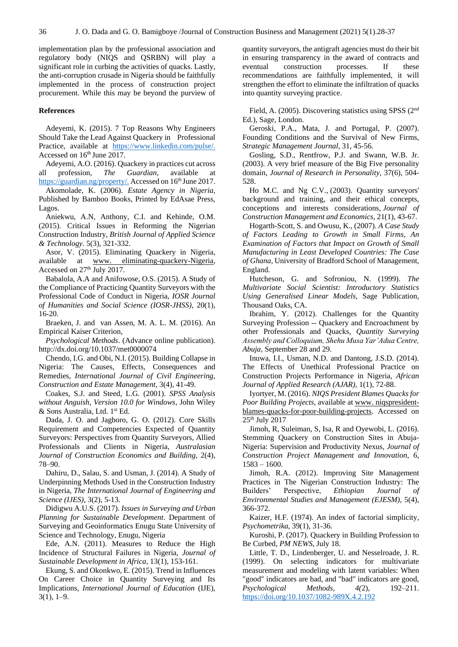implementation plan by the professional association and regulatory body (NIQS and QSRBN) will play a significant role in curbing the activities of quacks. Lastly, the anti-corruption crusade in Nigeria should be faithfully implemented in the process of construction project procurement. While this may be beyond the purview of

#### **References**

Adeyemi, K. (2015). 7 Top Reasons Why Engineers Should Take the Lead Against Quackery in Professional Practice, available at [https://www.linkedin.com/pulse/.](https://www.linkedin.com/pulse/) Accessed on 16<sup>th</sup> June 2017.

Adeyemi, A.O. (2016). Quackery in practices cut across all profession, *The Guardian*, available at [https://guardian.ng/property/.](https://guardian.ng/property/) Accessed on 16<sup>th</sup> June 2017.

Akomolade, K. (2006). *Estate Agency in Nigeria,* Published by Bamboo Books, Printed by EdAsae Press, Lagos.

Aniekwu, A.N, Anthony, C.I. and Kehinde, O.M. (2015). Critical Issues in Reforming the Nigerian Construction Industry, *British Journal of Applied Science & Technology*. 5(3), 321-332.

Asor, V. (2015). Eliminating Quackery in Nigeria, available at [www. eliminating-quackery-Nigeria,](http://www.eliminating-quackery-nigeria/) Accessed on 27<sup>th</sup> July 2017.

Babalola, A.A and Anifowose, O.S. (2015). A Study of the Compliance of Practicing Quantity Surveyors with the Professional Code of Conduct in Nigeria, *IOSR Journal of Humanities and Social Science (IOSR-JHSS)*, 20(1), 16-20.

Braeken, J. and van Assen, M. A. L. M. (2016). An Empirical Kaiser Criterion,

*Psychological Methods*. (Advance online publication). http://dx.doi.org/10.1037/met0000074

Chendo, I.G. and Obi, N.I. (2015). Building Collapse in Nigeria: The Causes, Effects, Consequences and Remedies, *International Journal of Civil Engineering, Construction and Estate Management,* 3(4), 41-49.

Coakes, S.J. and Steed, L.G. (2001). *SPSS Analysis without Anguish, Version 10.0 for Windows*, John Wiley & Sons Australia, Ltd. 1st Ed.

Dada, J. O. and Jagboro, G. O. (2012). Core Skills Requirement and Competencies Expected of Quantity Surveyors: Perspectives from Quantity Surveyors, Allied Professionals and Clients in Nigeria, *Australasian Journal of Construction Economics and Building*, 2(4), 78–90.

Dahiru, D., Salau, S. and Usman, J. (2014). A Study of Underpinning Methods Used in the Construction Industry in Nigeria, *The International Journal of Engineering and Science (IJES)*, 3(2), 5-13.

Didigwu A.U.S. (2017). *Issues in Surveying and Urban Planning for Sustainable Development*. Department of Surveying and Geoinformatics Enugu State University of Science and Technology, Enugu, Nigeria

Ede, A.N. (2011). Measures to Reduce the High Incidence of Structural Failures in Nigeria, *Journal of Sustainable Development in Africa*, 13(1), 153-161.

Ekung, S. and Okonkwo, E. (2015). Trend in Influences On Career Choice in Quantity Surveying and Its Implications, *International Journal of Education* (IJE), 3(1), 1–9.

quantity surveyors, the antigraft agencies must do their bit in ensuring transparency in the award of contracts and eventual construction processes. If these recommendations are faithfully implemented, it will strengthen the effort to eliminate the infiltration of quacks into quantity surveying practice.

Field, A. (2005). Discovering statistics using SPSS (2nd Ed.), Sage, London.

Geroski, P.A., Mata, J. and Portugal, P. (2007). Founding Conditions and the Survival of New Firms, *Strategic Management Journal*, 31, 45-56.

Gosling, S.D., Rentfrow, P.J. and Swann, W.B. Jr. (2003). A very brief measure of the Big Five personality domain, *Journal of Research in Personality*, 37(6), 504- 528.

Ho M.C. and Ng C.V., (2003). Quantity surveyors' background and training, and their ethical concepts, conceptions and interests considerations, *Journal of Construction Management and Economics,* 21(1), 43-67.

Hogarth-Scott, S. and Owusu, K., (2007). *A Case Study of Factors Leading to Growth in Small Firms, An Examination of Factors that Impact on Growth of Small Manufacturing in Least Developed Countries: The Case of Ghana,* University of Bradford School of Management, England.

Hutcheson, G. and Sofroniou, N. (1999). *The Multivariate Social Scientist: Introductory Statistics Using Generalised Linear Models,* Sage Publication, Thousand Oaks, CA.

Ibrahim, Y. (2012). Challenges for the Quantity Surveying Profession -- Quackery and Encroachment by other Professionals and Quacks, *Quantity Surveying Assembly and Colloquium, Shehu Musa Yar'Adua Centre, Abuja,* September 28 and 29.

Inuwa, I.I., Usman, N.D. and Dantong, J.S.D. (2014). The Effects of Unethical Professional Practice on Construction Projects Performance in Nigeria, *African Journal of Applied Research (AJAR),* 1(1), 72-88.

Iyortyer, M. (2016). *NIQS President Blames Quacks for Poor Building Projects*, available a[t www. niqspresident](http://www.niqs-president-blames-quacks-for-poor-building-projects/)[blames-quacks-for-poor-building-projects.](http://www.niqs-president-blames-quacks-for-poor-building-projects/) Accessed on  $25<sup>th</sup>$  July 2017

Jimoh, R, Suleiman, S, Isa, R and Oyewobi, L. (2016). Stemming Quackery on Construction Sites in Abuja-Nigeria: Supervision and Productivity Nexus, *Journal of Construction Project Management and Innovation,* 6,  $1583 - 1600$ .

Jimoh, R.A. (2012). Improving Site Management Practices in The Nigerian Construction Industry: The Builders' Perspective, *Ethiopian Journal of Environmental Studies and Management (EJESM),* 5(4), 366-372.

Kaizer, H.F. (1974). An index of factorial simplicity, *Psychometrika*, 39(1), 31-36.

Kuroshi, P. (2017). Quackery in Building Profession to Be Curbed, *PM NEWS*, July 18.

Little, T. D., Lindenberger, U. and Nesselroade, J. R. (1999). On selecting indicators for multivariate measurement and modeling with latent variables: When "good" indicators are bad, and "bad" indicators are good, *Psychological Methods, 4(*2), 192–211. [https://doi.org/10.1037/1082-989X.4.2.192](https://psycnet.apa.org/doi/10.1037/1082-989X.4.2.192)